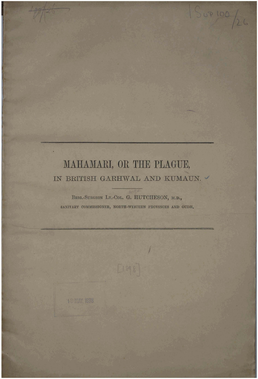## MAHAMARI, OR THE PLAGUE, IN BRITISH GARHWAL AND KUMAUN.

 $5400/26$ 

BRIG.-SURGEON LT.-COL. G. HUTCHESON, M.D., SANITARY COMMISSIONER, NORTH-WESTERN PROVINCES AND OUDH.

18 MAY 1898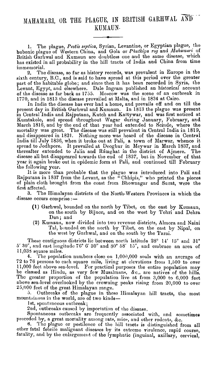1. The plague, *Pestis* septica, Syrian, Levantine, or Egyptian plague, tho bubonic plague of Western China, and Gola or Phutkiya rog and *Mahamari* of British Garhwal and Kumaun are doubtless one and the same disease, which has existed in all probability in the hill tracts of India and China from time immemorial.

2. The disease, so far as history records, was prevalent in Europe in the sixth century, B.C., and is said to have spread at this period over the greater part of the habitable globe; and since then it has been recorded in Syria, the Levant, Egypt, and elsewhere. Dale Ingram published an historical account of the disease as far back as 1755. Moscow was the scene of an outbreak in 1770, and in 1813 the disease prevailed at Malta, and in 1834 at Cairo.

In India the disease has ever had a home, and prevails off and on till the present day in British Garhwal and Kumaun. In 1813 the plague was present in Central India and Rajputana, Kutch and Kattywar, and was first noticed at Kumtakole, and spread throughout Wagar during January, February, and March 1816, and by the end of that year had extended to Scinde, where the mortality was great. The disease mas still prevalent in Central India in 1819, and disappeared in 1821. Nothing more was heard of the disease in Central India till July 1836, when it broke out at Pali, a town of Marwar, whence it spread to Jodhpore. It prevailed at Deoghur in Meywar in March 1837, and thereafter extended to Jalia and Rámghat in the district of Ajmere. The disease all but disappeared towards the end of 1837, but in November of that year it again broke out in epidemic form at Pali, and continued till February the following year.

It is more than probable that the plague was introduced into Pali and Rajputana in 1837 from the Levant, as the "Chhipis," who printed the pieces of plain cloth brought from the coast from Bhownagar and Surat, were the first affected.

**3.** The Himalayan districts of the North-Western Provinces in which the disease occurs comprise  $:$   $-$ 

- **(1)** Garhwnl, bounded on the north by Tibet, on the east by Kumaun, on the south by Bijnor, and on the west by Tehri and Dehra Dun; and
- (2) Kumaun, now divided into two revenue districts, Almora and Naini Tal, bounded on the north by Tibet, on the east by Nipal, on the west by Garhwal, and on the south by the Tarai.

Thebe contiguous districts lic between north latitude 28" 14' 15" and **31"**  5' **30",** and eabt longitude 76" G' 30" and SO" 58' **15",** and embrace an area of 11,03S square miles.

4. The population numbers close on  $1,000,000$  souls with an average of 72 to 76 persons to cach square mile, living at clcvations frou, 1,500 to over 11,000 feet above sea-level. For practical purposes the entire population may be classed as Hindu, as very few Musalmans, &c., are natives of the hills. Thc greater proportion of the population live at from 3,000 to 6,000 feet above sea-level overlooked by the crowning peaks rising from 20,000 to over 25,000 feet of the great Himalayan range.

5. Outbreaks of the plague in these Himalayan hill tracts, the most mountainous in the world, are of two kinds-

1st, spontaneous outbreak;

2ud, outbreaks caused by importation of tho disease.

Spontaneous outbreaks are frequently associated with, and sometimes preceded by, a great mortality among rats, mice, and other rodents, &c.<br>6. The plague or pestilence of the hill tracts is distinguished for

The plague or pestilence of the hill tracts is distinguished from all other fatal febrile malignant diseases by its extreme virulence, rapid course, fatality, and by the enlargement of the lymphatic (inguinal, axillary, cervical,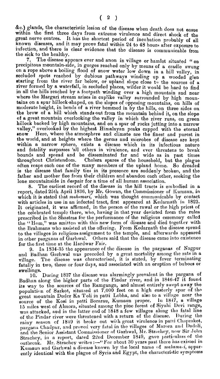&I:.) glands, the characteristic lesion of the disease wllen death does not ensue within the first three days from extreme virulence and direct shock of the great nerve centres. It has the shortest period of incubation probably of all known diseases, and it may prove fatal within 24 to **48** hours after exposme to infection, and there is clear evidence that the disease is communicable from the sick to the healthy.

7. The disease appears ever and anon in village or hamlet situated "on precipitous mountain-side, in gorges reached only by means of a cradle swung on a rope above a boiling flood of snow water low down in a hill valley, in secluded spots reached by dubious pathways winding up *a*  starting from the river far below, or upland slope close to the sources of river formed by a waterfall, in secluded places, wilder it would be hard to find in all the hills reached by a footpath winding over a high mountain and near where the Margari stream arises in cuplike valley surrounded by high mountains on a spur hillock-shaped, on the slopes of opposing mountains, on hills of moderate height, in bends of a river hemmed in by the hills, on three sides on the brow of a hill which stands out from the mountain behind it, on the slope of a great mountain overlooking the valley in which the river runs, on green hillock backed by high mountains, and on a spur of rocks jutting into a narrow valley," overlooked by the highest Himalayan peaks capped with the eternal snow. Here, where the atmosphere and climate are the finest and pure overlooked by the highest Himalayan peaks capped with the eternal Here, where the atmosphere and climate are the finest and purest in the world, and at heights where the germs and microbes of disease are kept within a narrow sphere, exists a disease which in its infectious nature and fatality surpasses 'all others in virulence, and ever threatens to break bounds and spread and be disseminated far and wide as in past times throughout Christendom. Cholera spares of the household, but the plague often reaps each one of the many members of the upland home. So dreaded is the dieease that family ties in its presence are suddenly broken, and the father and mother flee from their children and abandon each other, seeking the lone mountainside in despair for a time of all human association.

**8.** The earliest record of the disease in the hill tracts is embodied in a report, dated 25th April 1836, by Mr. Gowan, the Commissioner of Kumaun, in which it is stated that *mahamari*, which was thought communicable by contact with articles in use in an infected tract, first appeared at Keclarnath ir~ **1823.**  It originated, it was affirmed, in the person of the rawal or the high priest of the celebrated temple there, who, having in that year deviated from the rules prescribed in the Shastras for the performance of the religious ceremony called the "Hom," was smitten with this new form of disease and died together with the Brahmans who assisted at the offering. From Kedarnath the disease spread to the villages in religious assignment to the temple, and afterwards appeared in other parganas of Garhwal. Others said that the disease came into existence for the first time at the Hardwar Fair.

**9. In 1934-35** the appearance of the disease in the parganas of Nagpur and Badhan Garhwal was preceded by a great mortality among the rats in a village. The disease was characterised, it is stated, by fever terminating fatally in two, three or four days, and associated with an eruption of buboes or swellings.

10. During 1837 the disease was alarmingly prevalent in the pargana of Badllan along tile higher parts of the Pindar river, and in **1846-47** it found its **way** to the sources of tho Ramganga, and almost entirely sw~pt away the population of Sarkot, situated at 7,000 feet on a high easterly spur of tho great mountain Duder Ka Toli in patti Lobha, and also to a village near the source of the Kosi in patti Sornrau, Kumaun proper. 111 **1847, a** villnge **15** nliles west of Almora, situated among tho pine forest of Siynhi Ucvi rlmge, was attacked, and in the latter end of 1848 a few villages along the fatal line of tile Pindar river were threatened with a return of tlie disense. 1)uring the season of 1849 it broke out with great virulence in patti Chaprakot, pargana Chadpur, and proved very fatal in the villages of Marora and Dadoli, and the Senior Assistant Commissioner of Garhwal, Mr. Strachey, now Sir John Strachey, in a report, dated 22nd December 1849, gave particulars of the outbreak. Mr. Strachey writes :- "For about 30 years past there has existed in Kumaun and Garhwal a disease known by the local name of *mahamari*, apparently identical with the plague of Syria and Egypt, the characteristic symptoms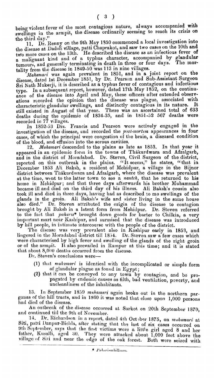being violent fever of the most contagious nature, always accompanied with swellings in the armpit, the disease ordinarily seeming to reach its crisis on the third day."

11. Dr. Renny on the 9th May 1950 commenced a local investigation into the disease at Dadoli village, patti Chaprakot, and saw two cases on the 10th and  $t_{\text{two more cases on the 13th.}}$  He described the disease as an infectious fever of  $t_{\text{two more cases on the 13th.}}$  He described the disease as an infectious fever of tumours, and gelierally termioating in death in three or four clays. The **mor**tality from the disease in 1849-50 was 113 in nine villages.

*Mahamari* was again prevalent in  $1851$ , and in a joint report on the disease, datsd 1st December 1851, by Dr. Pearson and Sub-Assistant Surgeon Sri Nath Mukerji, it is described as a typhus fever of contagious and infectious type. In a subsequent report, however, dated 17th May 1852, on the continuance of the disease into April and May, these officers after extended observations recorded the opinion that the disease was plague, associated with ations recorded the opinion that the disease was plague, associated with characteristic glandular swellings, and distinctly contagious in ita nature. It still existed **jn** August of that year. There was an ascertained total of **633**  deaths during the epidemic of 1834-35, and in  $1851-52$  567 deaths were recorded in **77** villages.

In 1852-53 Drs. Francis and Pearson were actively engaged in the investigation of the disease, and recorded the *post-mortem* appearances in four cases, of wlnich the principal were congestion of the brain, a diseased condition of the blood, and effusion into the serous cavities.

12. Muhamari descended to the plains as late as 1853. In that year it appeared in an cpidemic form in the towns of Thákurdwara and Afzalgarb, and in the district of Moradabad. Dr. Steven, Civil Surgeon of the district, reported on this outbreak in the plains. "It seems," he states, "that in December 1853 Ali Baksh, a resident of Mehidpur, a village in the Bijnor district between Thákurdwara and Afzalgarh, where the disease was prevalent **at** the time, went to the latter town to see a naatch, that he returned to his home in Mehidpur; and that three days afterwards his brother Muhammad became ill and died on the third day of his illness. Ali Baksh's cousin also took ill and died in three days, having had as described to me swellings of the glands in the groin. Ali Baksh's wife and sister living in the same house also died." Dr. Steven attributed the origin of the disease to contagion brought by Ali Baksh in a latent form from Mehidpur. Dr. Steven referred to the fact that *pulrurzs\** brought down goods for barter to Cililkia, a very important mart near Kashipur, and surmised that the disease was introduced by hill people, in intimate intercourse with the people of the district.

The disease was very prevalent also in Kashipur early in 1853, and lingered in the Moradabad district till 1854. Dr. Steven saw a few cases which were characterised by high fever and swelling of the glands of the right groin or of the armpit. It also prevailed in Rampur at this time; and it is stated that about  $8,000$  deaths occurred from the disease.

Dr. Steven's conclusions were-

- (1) that *mahamari* is identical with the incomplicated or simple form of glandular plague as found in Egypt;
- **(2)** that it can be conveyed to any town by contagion, and be propagated by endemic causes as filth, bad ventilation, poverty, and uncleanliness of tho inhabitants.

13. In September 1859 *mahamari* again broke out in the northern parganas of the hill tracts, and in 1860 it was noted that close upon 1,000 persons<br>had died of the disense.

An outbreak of the disease occurred at Sarkot on 20th September 1870, and continued till the 9th of November.

14. Dr. Richardson in a report, dated 4th October 1875, on *mahamari* at Siti, patti Danpur-Bichla, after stating that the last of six cases occurred on 9th September, says that the first victims were a little girl aged 8 and her father, Kusalli, aged 30. They wore attacked about 1,000 feet above the village of Siti and near the edge of the oak forest. Both were seized with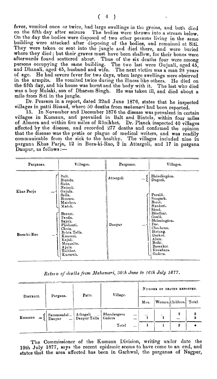fever, vomited once or twice, had large swellings in the groins, and both died on the fifth day after seizure The bodies were thrown into a stream below. On the day the bodies were disposed of two other persons living in the samo building were attacked after disposing of the bodies, and remained at Siti. They were taken or sent into the jungle and died there, and were buried where they died; but their graves must have been shallow, for their bones were afterwards found scattered about. Thus of the six deaths four wcre among psrsons occupying the same building. The tno last were Gujuali, aged 45, and Dhanali, aged 45, husband and wife. The next victim was a man 28 years of age. He had severe fever for two days, when large swellings were observed in the armpits. He vomited twice during the illness like others. He died on the fifth day, and his house was burnt and the body with it. The last who djed was a boy Mulaki, son of Dharam Singh. He was taken ill, and died about a mile from Siti in the jungle.

Dr. Pearson in a report, dated 22nd June 1876, states that he inspected villages in patti Bisaud, mherc 50 deaths from *malawnari* had been reported.

15. In November and December 1876 the disease was prevalent in certain villages in Kumaun, and prevailed in Balt and Bintola, within four miles of Almora and within five miles of Rânikhet. Dr. Planck inspected 40 villages affected by the disease, and recorded 277 deaths and confirmed the opinion that the diseaso was the pestis or plague of medical writers, and was readily communicable from the sick to the healthy. The villages included nine in parganz Kbas Parja, **12** in Bora-Li-Rao, **2** in Attargoli, and 17 in pargana Daupur, as follows :-

| Parganas.   | Villages.                                                                                                                                   | Parganas.             | Villages.                                                                                                        |  |  |
|-------------|---------------------------------------------------------------------------------------------------------------------------------------------|-----------------------|------------------------------------------------------------------------------------------------------------------|--|--|
| Khas Parja  | Balt.<br>Bintola.<br>Sirár.<br>Nainoli.<br>Gajula.<br><br>Salla.                                                                            | Attargoli<br>$\cdots$ | Bhándárgáon.<br>Dugorá.<br>Parsáli.                                                                              |  |  |
|             | Biraura.<br>Maichor.<br>Matoli.<br>Banuri.<br>Tanda.                                                                                        |                       | Sungarh.<br>Barct.<br>Nankori.<br>Sámá.<br>Bándhar.<br>Gaulá.                                                    |  |  |
| Bora-ki-Rao | Sajoli.<br>Phalianti.<br>Chain.<br>Behta Talla.<br>100 <sup>2</sup><br>Kausani.<br>Kajuli.<br>Mangalta.<br>Ajula.<br>Tailihat.<br>Kurura'a. | Danpur<br>            | Bhámángáon.<br>Dor.<br>Chachena.<br>Birtang.<br>Darkot.<br>Alam.<br>Bothi.<br>Basankot.<br>Kasiabara.<br>Gadera. |  |  |

Return of deaths from Mahamari, 30th June to 16th July 1877.

| DISTRICT.                          | Pargana.             | Patti.                                             | Village.              |                      | NUMBER OF DEATHS REPORTED. |                      |                  |  |  |
|------------------------------------|----------------------|----------------------------------------------------|-----------------------|----------------------|----------------------------|----------------------|------------------|--|--|
|                                    |                      |                                                    |                       |                      | Women.Children.<br>Men.    |                      | Total.           |  |  |
| Kumaun<br>$\overline{\phantom{a}}$ | Paramandal<br>Danpur | 1   Athagali<br>     Danpur Talla<br>$\sim$ $\sim$ | Bhandergaon<br>Gadera | $\cdots$<br>$\cdots$ | $\cdots$                   | $\ddot{\phantom{a}}$ | 2<br>$\cdots$    |  |  |
|                                    |                      |                                                    | Total                 | $\cdots$             |                            |                      | $\boldsymbol{2}$ |  |  |

The Commissioner of the Kumaun Division, writing under dato the 19th July 1877, says tlie recent epidemic seems to have como to an end, and states that the area affectcd has been in Garhwal, the parganas of Nagpur,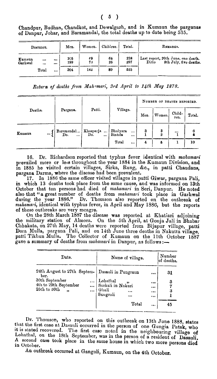$(5)$ 

|                   | DISTRICT.    | Men.               | Women.   | Children. | Total.     | REMARKS.                                                              |
|-------------------|--------------|--------------------|----------|-----------|------------|-----------------------------------------------------------------------|
| Kumaun<br>Garhwal | <br>$\cdots$ | <br><br>106<br>199 | 69<br>73 | 64<br>26  | 238<br>297 | Last report, 20th June, one death.<br>9th July, five deaths.<br>Ditto |
|                   | Total        | <br>304            | 142      | 89        | 535        |                                                                       |

Chandpur, Budhan, Chandkot, and Dewalgarh, and in Kumaun the parganas of Danpur, Johar, and Baramandal, the total deaths up to date being 535.

Return of deaths from Mahamari, 3rd April to 14th May 1878.

|         |          |                               |                                          |                     |              | NUMBER OF DEATHS REPORTED. |                     |                |        |  |
|---------|----------|-------------------------------|------------------------------------------|---------------------|--------------|----------------------------|---------------------|----------------|--------|--|
| Deaths. |          | Pargana.                      | Patti.                                   | Village.            |              | Men.<br>Women.             |                     | Child-<br>ren. | Total. |  |
| Kumaun  | $\cdots$ | Baramandal<br>Do.<br>$\cdots$ | Khasparja<br>$\cdots$<br>Do.<br>$\cdots$ | Bhulyara<br>Bintola | $\cdots$<br> | 3                          | 3<br>$\overline{2}$ |                |        |  |
|         |          |                               |                                          | Total               | $\cdots$     | 4                          | 6                   | ı              | 10     |  |

16. Dr. Richardson reported that typhus fever identical with mahamari prevailed more or less throughout the year 1884 in the Kumaun Division, and<br>in 1885 he visited certain villages, Sirka, Rung, &c., in patti Chaudans,<br>pargana Darma, where the disease had been prevalent.

17. In 1886 the same officer visited villages in patti Giwar, pargana Pali, in which 13 deaths took place from the same cause, and was informed on 13th In which is deaths took place from the same cause, and was informed on four<br>October that ten persons had died of mahamari in Seri, Danpur. He noted<br>also that "a great number of deaths from mahamari took place in Garhwal<br>du of these outbreaks are very meagre.<br>On the 28th March 1887 the disease was reported at Khatiari adjoining

the military station of Almora. On the 5th April, at Gonja Jali in Bhabar Chhakata, on 27th May, 14 deaths were reported from Bijapur village, patti Dora Mulla, pargana Pali, and on 14th June three deaths in Nakutta villag gave a summary of deaths from mahamari in Danpur, as follows :-

| Date.                                                                                                                        | Name of village.                                                                                   | Number<br>of deaths.                                     |                    |
|------------------------------------------------------------------------------------------------------------------------------|----------------------------------------------------------------------------------------------------|----------------------------------------------------------|--------------------|
| 24th August to 27th Septem-<br>ber.<br>30th September<br>4th to 29th September<br>$\ddotsc$<br>25th to 30th<br>n<br>$\cdots$ | Dasauli in Pungraun<br>Lohathal<br>Surkali in Nakuri<br>Ghali<br>$\cdots$<br>Sungroli<br><br>Total | $\cdots$<br>$\cdots$<br>$\cdots$<br>$\cdots$<br>$\cdots$ | 31<br>3<br>3<br>45 |

Dr. Thomson, who reported on this outbreak on 13th June 1888, states that the first case at Dasauli occurred in the person of one Gungia Patak, who it is stated recovered. The first case noted in the neighbouring village o Lohathal, on the 18th September, was in the person of a resident of Dasauli. A second case took place in the same house in which two more persons died in October.

An outbreak occurred at Gangoli, Kumaun, on the 4th October.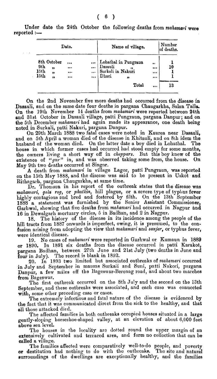**Date.**  8th Ootober ... ... **9th** ,I ... ... **15th** ,, ... ... 15th ,, ... ... Name of **village.**  Lohathal in Pungraun **...**<br>
Desauli ,, ... ... <br>
Surkali in Nakuri ... ...<br>
Dhari ,, ... Total ... Number of deathe. **1 10 1 1**   $\begin{array}{c|c} & & 1 & \\ & & 10 & \\ & & 1 & \\ & & 1 & \\ \hline & & 13 & \\ \end{array}$ **13** 

Under date the 24th October the following deaths from mahamari were ted :reported  $:$ --

On the 2nd November five more deaths had occurred from the disease in Dasauli, and on the same date four deaths in pargana Chaugarkha, Salan Talla. On the 19th November 14 deaths from mahamari were reported between 24th and 31st October in Dasauli village, patti Pungraun, pargana Danpu; and on the 5th December mahamari had again made its appearance, one death being noted in Surkali, patti Nakuri, pargana Danpur.

On 29th March 1888 two fatal cases were noted in Kaurea near Dasauli, and on 5th April a woman died of the disease in Khitauli, and on 8th idem the husband of the woman died. On the latter date a boy died in Lohathal. The house in which former cases had occurred had stood empty for some months, the owners living a short way off in *chappars*. But this boy knew of the existence of "gur" in, and was observed taking some from, the house. On

May 9th two deaths occurred at Singor. **A** death from mahamari in village Lagor, patti Pungraun, was reported on the 15th May 1888, and the disease was said to be present in Uskot and Rithagarh, pargana Chaugarkha, at same time.

Dr. Thomson in his report of the outbreak states that the disease was mahamari, gola rog, or *phutkin*, hill plague, or a severe type of typllus fever highly contagious and bred and fostered by filth. On the 13th September 1888 a statemcnt was furnished by the Senior Assistant Commissioner, Garhwal, showing that five deaths from *mahamari* had occurred in Nagpur and **16** in Dewalgarh mortuary circles, 5 in Sadhan, and **2** in Nagpur.

18. The history of the disease in its incidence among the people of the hill tracts from 1887 onwards is imperfect, owing, it is presumed, to the confusion arising from adopting the view that mahamari and sanjar, or typhus fever, were identical disease.

19. No cases of mahamari were reported in Garhwal or Kumaun in 1889 or 1890. In 1891 six deaths from the disease occurred in patti Karakot, pargana Badhan, between 27th June and 21st July (two deaths in June and four in July). The record is blank in 1892.

20. In 1893 two limited but associated outbreaks of *mahamari* occurred in July and September in mauzas Surkaii and Suni, patti Nakori, pargana Danpur, a few miles off the Bageswar-Berenag road, and about two marches from Bageswar.

The first outbreak occurred on the 8th July and the second on the 13th September, and these outbreaks wcre associated, and each case was connected with, some other preceding case or cases.

The extremely infectious and fatal naturo of the disease is evidenced **by**  the fact that it was communicated direct from the sick to the healthy, and that all those attacked died.

The affected families in both outbreaks occupied houses situated in **a** large gently-sloping horseehoe-shaped valley, at an elevation of about 6,000 feet above sea level.

The houses in the locality are dotted round the upper margin of an extensively cultivated and terraced area, and form no collection that can be called a village.

The families affected mere comparatively well-to-do people, and poverty or destitution had nothing to do with the outbreaks. The site and natural surroundings of the dwellings are exceptionally healthy, and tho families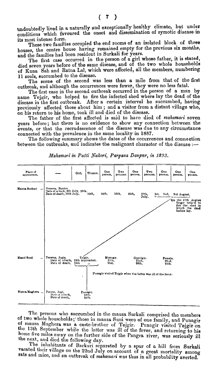undoubtedly lived in a naturally and exceptionally healthy climate, but under conditions which favoured the onset and dissemination of zymotic disease in its most intensc form.

These two families occupied the end rooms of an isolated block of three houses, the centre house having remained empty for the previous six months, and the families had been resident in Surkali for years.

The first case occurred in the person of a girl whose father, it **is** stated, died seven years before **of** the same disease, and of the two whole households of Runa Sah and Ratna Lal, which were affected, all the members, numbering 11 souls, succumbed to the disease.

The scene of the second mas less than a mile from that of the first outbreak, and although the occurrences were fewer, they were no less fatal.

The first case in the second outbreak occurred in the person of a man by name Tejgir, who helped to fire the infected shed where lay the dead of the disease in the first outbreak. After a certain interval he succumbed, having previously affected those about him ; and a visitor from a distant village who, on his return to his home, took ill and died of the disease.

The father of the first affected is said to have died of *mahamari* seven years before; hut there is no evidence to show any connection between the events, or that the recrudescence of the disease was due to any circumstance connected with the prevalence in the same locality in 1887.

The following summary shows the dates of the occurrences and connection between the outbreaks, and indicates the malignant character of the disease :-



*Mahamari in Patti Nakori, Pargana Danpur, in 1893.* 

The persons who succumbed in the mauza Surkali comprised the members of two whole houscholds; those in mauza Suni were of one family, and Punagir of mauza Maghera was a caste-brother of Tejgir. Punagir visited Tejgir on the 13th September while the latter was ill of the fever, and returning to his home five miles away on the further side of the Pangra river, was seriously ill the next, and died the following day.

The inhabitants of Barkuri separated by a spur of a hill from Surkali vacated their village on the 22nd July on account of a great mortality among rats and mice, and an outbreak of *mahamari* was thus in all probability averted.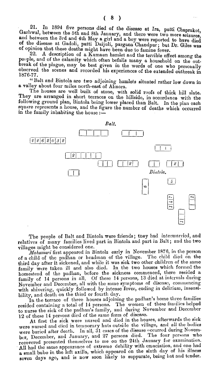21. In 1894 five persons died of the disease at Im, patti Chaprakot, Garhwal, between the 5th and 8th January, and there were two more scizures, and between the 3rd and 4th May a girl and a boy were reported to have died of the disease at Gadoli, patti Daijuli, pargana Chandpur; but Dr. Giles was of opinion that these deaths might have been due to famine fever.

**22. A** description of *n* Kumaun hamlet and the terrible effect among the people, and of the calamity which often befalls many a household on the outbreak of the plague, may be best given in the words of one who personally observed the scenes and recorded his experiences of the extended outbreak in 1876-77.

"Balt and Bintola are two adjoining hamlets situated rather low down in a valley about four miles north-east of Almora.

The houses are well built of stone, with solid roofs of thick hill slate. They are arranged in short terraces on the hillside, in accordance with the following ground plan, Bintola being lower placed than Balt. In the plan each square represents a house, and tho figure the number of deaths which occurred in the family inhabiting the house  $:=$ 



The people of Balt and Bintola were friends; they had intermarried, and relatives of many families lived part in Bintola and part in Balt; and the two villages might be considered one.

*Mahamari* first appeared in Bintola early in November 1876, in the person of a child of the padhan or headman of the village. The child died on the third day after it sickened, and while it was sick two other children of the same family were taken ill and also died. In the two houses which formed the homestead of the padlnn, bcfore the sickness commenced, there resided a family of **14** persons in all. Of thesc **14** persons, **13** died at intervals during November and December, all with the same symptoms of disease, commencing with shivering, quickly followed by intense fever, ending in delirium, insensibility, and death on the third or fourth day.

In the terrace of three houses adjoining the padhan's home three families resided containing a total of 14 persons. The women of these families helped to nurse the sick of the padhan's family, ancl during November and Deccmber **12** of these 14 persons dicd of the samc form of discase.

At first the sick were nursed and died in the houses, afterwards the sick were nursed and died in temporary huts outside the village, and all the bodies were buried after death. In all, 31 cases of the disease occurred during Novembcr, December, and January, and *27* persons dicd. Tlie four pcrxons who presented themselves to me on the 24th January for examination. All had the same appearance of extreme debility with emaciation, and one had **a** small bubo in the left axilla, which appeared on the sixth day of his illness seven days ago, and is now soon likely to suppurate, being hot and tender.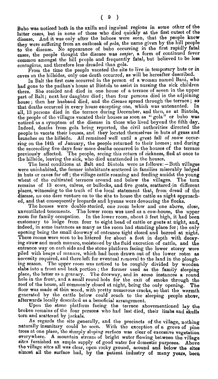Bubo was noticed both in the axilla and inguinal regions in some other of the latter cases, but in none of those who died quickly at the first outset of the disease. And it was only after the buboes were seen, that the people knew they were suffering from an outbreak of *golo,* the name given by the hill people to the disease. No appearance of bubo occurring in the first rapidly fatal cases, the people thought the disease was *sanjar*, a form of continued fever common amongst thc hill people and frequently fatal, but believed to be less contagious, and therefore less dreaded than gola.

From the time the peoplo vacated the site to live in temporary huts or in caves on the hillsides, only one death occurred, as will be hereafter described.

In Balt the first case occurred in the person of a woman named Bani, who had gone to the padhan's house at Bintola to assist in nursing the sick children there. She resided and died in one house of a terrace of seven in the upper part of Balt; next her daughter died; then four persons died in the adjoining house; then her husband died, and the disease spread through the terrace; so that deaths occurred in every house excepting one, which was untenanted. In that deaths occurred in every house excepting one, which was untenanted. all, 13 persons died in the terrace during December, and then, as at Bintola, the people of the villages vacated their houses as soon as "gola" or bubo was noticed as a symptom of the disease in those who lived beyond the fifth day. Indeed, deaths from gola being reported, the civil authorities directed the indeed, deaths from gold being reported, the civil authorities different the<br>people to vacate their houses, and they located themselves in huts of grass and<br>branches on the hillside. All remained well until a great fall of ring on the 14th of January, the people returned to their homes; and during the succeeding five days four more deaths occurred in the houses of the terrace previously affected. The people, seeing this return of sickness, fled at once to the hillside, leaving the sick, who died unattended in the houses.

The local conditions at Balt and Bintola were as follows: - Both villages were uninhabited, the former inhabitants scattered in families miserably lodged in huts or caves far off; the village cattle roaming and feeding amidst the young wheat of the cultivated terraces around and below the villages. The torn wheat of the cultivated terraces around and below the villages. remains of 13 cows, calves, or bullocks, and five goats, scatteredin different places, witnessing to the truth of the local statement that, from dread of the disease, no one dare venture on to the site to house the cattlo as night approached, and that consequently leopards and hyenas were devouring the flocks.

The houses were double storied, one room below and one above, close, unventilated tenements. The lower room was used as a cow-house, the upper room for family occupation. In the lower room, about 5 feet high, it had been customary to lodge from four to eight head of cattle or goats at night, and, indeed, in somo instnnces as many as the room had standing place for; the only opening being the small doorway of entrance tight closed and barred at night. These rooms were scen to be littered for about a foot in depth with decay-<br>ing straw and much manure, moistened by the fluid excretion of cattle, and the entrance way on each side and the stone platform facing the lower storey were piled with heaps of manure, which had been drawn out of the lower room as necessity required, and there left for eventual removal to the land in tho ploughing season. The upper room was noticed to be roughly divided by wooden<br>slabs into *u* front and back portion ; the former used as the family sleeping place, the latter as a granary. The doorway, and in some instances a round hole in tlle front, and **a** small round hole for the exit of smoke through tho roof of the houso, all commonly closed at night\*, being tho only opening. **The**  floor was made of thin wood, with pretty numerous cracks, so that the warmth generated by the cattle below could reach to the sleeping people above, afterwards locally dcscribcd as a beneficial arrangement.

Upon the stone platform facing the terrace abovementioned lay the broken remains of the four persons who had last died, their limbs and skulls torn and scattered by jackals.

As regards the site generally, and tho precincts of the village, nothing naturally insanitary could be seen. With the exception of a grove of pine trees at one place, the sharply sloping surface was clear of excessive vegetation trees at one place, the sharply sloping surface was clear of excessive vegetation everywhere. A mountain stream of bright water flowing between the village sites furnished an ample supply of good water for domestic purpose the village sites all was clear, open rocky ground, around and below the sites almost all the surface had, by the patient industry **of** many years, beeq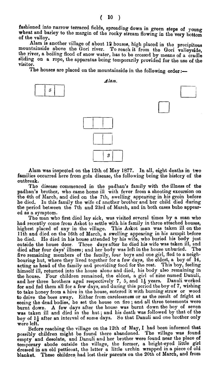fashioned into narrow terraced fields, spreading down in green ateps of young wheat and barley to the margin of the rocky stream flowing in the very bottom of the vallev.

Alam is another village of about 12 houses, high placed in the precipitous mountainside above the Gori river. To reach it from the Gori valleyside, the river, a boiling flood of snow water, has to be crossed by means of a cradle sliding on a rope, the apparatus being temporarily provided for the uae of the visitor.

The houses are placed on the mountainside in the following order :-



Alam was inspected on the 12th of May 1877. In all, eight deaths in two families occurred here from gola disease, the following being the history of the outbreak.

The disease commenced in the padhan's family with the illness of the padhan'e brother, who came home ill with fever from a shooting excursion on the 4th of March, and died on the 7th, swelling appearing in his groin before he died. In this family the wife of another brother and her child died during the period between the 7th and 23rd of March, and in both cases bubo appeared as a symptom.

The man who first died lay sick, was visited several times by a man who had recently come from Askot to settle with his family in three attached houses, highest placed of any in the village. This Askot man was taken ill on the 11th and died on the 16th of March, a ewelling appearing in his armpit before he died. He died in his house attended by his wife, who buried his body just outside the house door. Three daye after he died his wife was taken ill, and died after four days' illnees; and her body was left in the house unburied. The five remaining members of the family, four boys and one girl, fled to a neighbouring hut, where they lived together for a few days, the eldest, a boy of 14, acting as head of the family and providing food for the rest. This boy, feeling himself ill, returned into the house alone and died, his body also remaining in the house. Four children remained, tho eldest, a girl of nine named Danuli, and her three brothers aged respectively 7, 5, and **14** years. Danuli worked for and fod them all for a few days, and during this period tbe boy of 7, wishing to take honey from a hive in the house, entered it with burning straw or wood to drive the bees away. Either from carelessness or as the result of fright at seeing the dead bodies, he set the house on fire ; and all three tenements were burnt down. A few days after the house was burnt down the boy of seven was taken ill and died in the hut; and his death was followed by that of the boy of  $1\frac{1}{2}$  after an interval of some days. So that Danuli and one brother only were left.

Before reaching the village on the 12th of May, I had been informed that possibly children might be found there abandoned. 'The village was found empty and desolate, and Danuli and her brother were found near the place of temporary abode outside the village, the former, a bright-eyed little girl dressed in an old petticoat, the latter a little urchin wrapped in a piece of old blanket. These children had lost their parents on the 20th of March, and from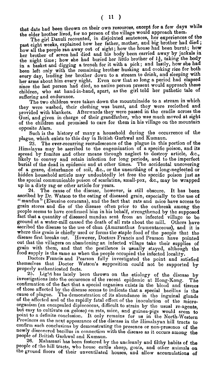that date had been thrown on their own resources, except for **a** few the elder brother lived, for no person of the village would approach them.

The girl Danuli recounted, in disjointed sentences, her experiences of the The girl Danuli recounted, in disjointed sentences, her experiences or the<br>past eight weeks, explained how her father, mother, and big brother had died;<br>fight: how the house had been burnt; how past eight weeks, explained how her father, mother, and big brother had died,<br>how all the people ran away out of sight; how the house had been burnt; how her brother of seven had died and his body been carried away by jackals in the night time; how she had buried her littla brother of *I;,* taking the **body**  in a basket and digging a trench for it with a pick; and lastly, how she had been left only with the remaining brother husking and cooking rice for both every day, leading her brother down to a stream to drink, and sleeping with her arms about him every night. Even now that so long a period had elapsed since the last person had died, no native person present would approach these children, who sat hand-in-hand, apart, as the girl told her pathetic tale of suffering and endurance.

The two children were taken down the mountainside to a stream in which they were washed, their clothing was burnt, and they were reclothed and provided with blankets. Afterwards they were passed in the cradle across the Gori, and given in charge of their grandfather, who was much moved at sight of the children and promised to care for them in his village on the mountaia opposite Alam.

Such is **the** history of many a household during the occurrence of the plague, which exists to this day in British Garhwal and Kumaun.

**23.** The ever-recurring recrudescence of the plague in this portion of the Himalayas may be ascribed to the engemination of a specific poison, and its spread by fomites and other means through neglect to destroy article, &c., likely to convey and retain infection for long periods, and to the imperfect burial of the dead in epidemic and at other times. The accidental uncovering of a grave, disturbance of soil, &c., or the unearthing of a long-neglected or hidden household article may undoubtedly let free the specific poison just as the special communicable poison of scarlatina, small-pox, &c., may be wrapped up in a dirty rag or other article for years.<br>24. The cause of the disease, howe

24. The cause of the disease, however, is still obscure. It has been<br>ascribed by Dr. Watson to the eating of diseased grain, especially to the use of "mandua" (Eleusine coracana), and the fact that rats and nice have access to grain stores and die of the disease often prior to the outbreak among the people seems to have confirmed him in his behalf, strengthened by the supposed fact that a quantity of diseased mandua sent from an infected village to be ground at a water-mill caused the death of all rats about the mill. Others have ascribed the disesse to the use of chua (Amaranthus frumentaceous), and it is where this grain is chiefly used or forms the staple food of the people that the disease first breaks out. However, Doctors Francis and Pearson have pointed out that the villagers on abandoning an infected village take their supplies of grain with them, and that the pestilence is usually stayed, although the food supply is the same as when the people occupied the infected locality.

Doctors Francis and Pearson fully investigated the point and satisfied themselves that Doctor Watson's supposition could not be supported by Watson's supposition could not be supported by properly authenticated facts.

25. Light has lately been thrown on the etiology of the disease by investigations into the occurence of the recent epidemic at Hong-Kong. The confirmation of the fact that a special organism exists in the blood and tissues of those affected by the disease seems to indicate that a special bacillus is the cause of plague. The demonstration of its abundance in the inguinal glands of the affected and of the rapidly fatal effect of the inoculation of the microof the affected and of the rapidly fatal effect of the inoculation of the micro-<br>organism (an encapsuled diplococcus, difficult to strain by the usual re-agents, but easy to cultivate on golose) on rats, mice, and guinea-pigs would seem to point to a definite conclusion. It only remains for us in the North-Western Provinces on the next appearance of the disease in the Himalayan hill tracts to confirm such conclusions by demonstrating the presence or non-presence of the newly discovered bacillus in connection with the disease as it occurs among the people of British Garhwal and Kumaun. **26.** People of British Garhwal and Kumaun.<br>26. Mahamari has been fostered by the uncleanly and filthy habits of the

people of the hill tracts, who house cattle sheep, goats, and other animals on the ground floors of their unventilated houses, and allow accumulations of